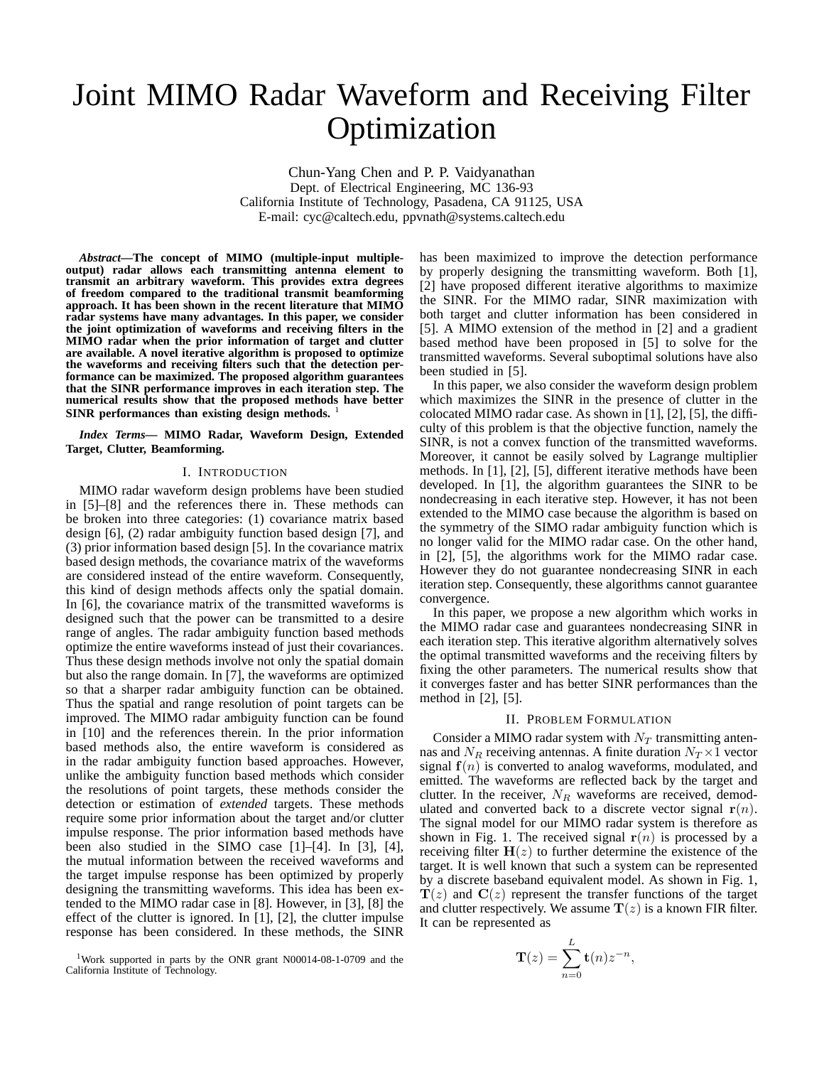# Joint MIMO Radar Waveform and Receiving Filter Optimization

Chun-Yang Chen and P. P. Vaidyanathan Dept. of Electrical Engineering, MC 136-93 California Institute of Technology, Pasadena, CA 91125, USA E-mail: cyc@caltech.edu, ppvnath@systems.caltech.edu

*Abstract***—The concept of MIMO (multiple-input multipleoutput) radar allows each transmitting antenna element to transmit an arbitrary waveform. This provides extra degrees of freedom compared to the traditional transmit beamforming approach. It has been shown in the recent literature that MIMO radar systems have many advantages. In this paper, we consider the joint optimization of waveforms and receiving filters in the MIMO radar when the prior information of target and clutter are available. A novel iterative algorithm is proposed to optimize the waveforms and receiving filters such that the detection performance can be maximized. The proposed algorithm guarantees that the SINR performance improves in each iteration step. The numerical results show that the proposed methods have better SINR performances than existing design methods.** <sup>1</sup>

*Index Terms***— MIMO Radar, Waveform Design, Extended Target, Clutter, Beamforming.**

# I. INTRODUCTION

MIMO radar waveform design problems have been studied in [5]–[8] and the references there in. These methods can be broken into three categories: (1) covariance matrix based design [6], (2) radar ambiguity function based design [7], and (3) prior information based design [5]. In the covariance matrix based design methods, the covariance matrix of the waveforms are considered instead of the entire waveform. Consequently, this kind of design methods affects only the spatial domain. In [6], the covariance matrix of the transmitted waveforms is designed such that the power can be transmitted to a desire range of angles. The radar ambiguity function based methods optimize the entire waveforms instead of just their covariances. Thus these design methods involve not only the spatial domain but also the range domain. In [7], the waveforms are optimized so that a sharper radar ambiguity function can be obtained. Thus the spatial and range resolution of point targets can be improved. The MIMO radar ambiguity function can be found in [10] and the references therein. In the prior information based methods also, the entire waveform is considered as in the radar ambiguity function based approaches. However, unlike the ambiguity function based methods which consider the resolutions of point targets, these methods consider the detection or estimation of *extended* targets. These methods require some prior information about the target and/or clutter impulse response. The prior information based methods have been also studied in the SIMO case [1]–[4]. In [3], [4], the mutual information between the received waveforms and the target impulse response has been optimized by properly designing the transmitting waveforms. This idea has been extended to the MIMO radar case in [8]. However, in [3], [8] the effect of the clutter is ignored. In [1], [2], the clutter impulse response has been considered. In these methods, the SINR

<sup>1</sup>Work supported in parts by the ONR grant N00014-08-1-0709 and the California Institute of Technology.

has been maximized to improve the detection performance by properly designing the transmitting waveform. Both [1], [2] have proposed different iterative algorithms to maximize the SINR. For the MIMO radar, SINR maximization with both target and clutter information has been considered in [5]. A MIMO extension of the method in [2] and a gradient based method have been proposed in [5] to solve for the transmitted waveforms. Several suboptimal solutions have also been studied in [5].

In this paper, we also consider the waveform design problem which maximizes the SINR in the presence of clutter in the colocated MIMO radar case. As shown in [1], [2], [5], the difficulty of this problem is that the objective function, namely the SINR, is not a convex function of the transmitted waveforms. Moreover, it cannot be easily solved by Lagrange multiplier methods. In [1], [2], [5], different iterative methods have been developed. In [1], the algorithm guarantees the SINR to be nondecreasing in each iterative step. However, it has not been extended to the MIMO case because the algorithm is based on the symmetry of the SIMO radar ambiguity function which is no longer valid for the MIMO radar case. On the other hand, in [2], [5], the algorithms work for the MIMO radar case. However they do not guarantee nondecreasing SINR in each iteration step. Consequently, these algorithms cannot guarantee convergence.

In this paper, we propose a new algorithm which works in the MIMO radar case and guarantees nondecreasing SINR in each iteration step. This iterative algorithm alternatively solves the optimal transmitted waveforms and the receiving filters by fixing the other parameters. The numerical results show that it converges faster and has better SINR performances than the method in [2], [5].

#### II. PROBLEM FORMULATION

Consider a MIMO radar system with  $N_T$  transmitting antennas and  $N_R$  receiving antennas. A finite duration  $N_T \times 1$  vector signal  $f(n)$  is converted to analog waveforms, modulated, and emitted. The waveforms are reflected back by the target and clutter. In the receiver,  $N_R$  waveforms are received, demodulated and converted back to a discrete vector signal  $r(n)$ . The signal model for our MIMO radar system is therefore as shown in Fig. 1. The received signal  $r(n)$  is processed by a receiving filter  $H(z)$  to further determine the existence of the target. It is well known that such a system can be represented by a discrete baseband equivalent model. As shown in Fig. 1,  $T(z)$  and  $C(z)$  represent the transfer functions of the target and clutter respectively. We assume  $\mathbf{T}(z)$  is a known FIR filter. It can be represented as

$$
\mathbf{T}(z) = \sum_{n=0}^{L} \mathbf{t}(n) z^{-n},
$$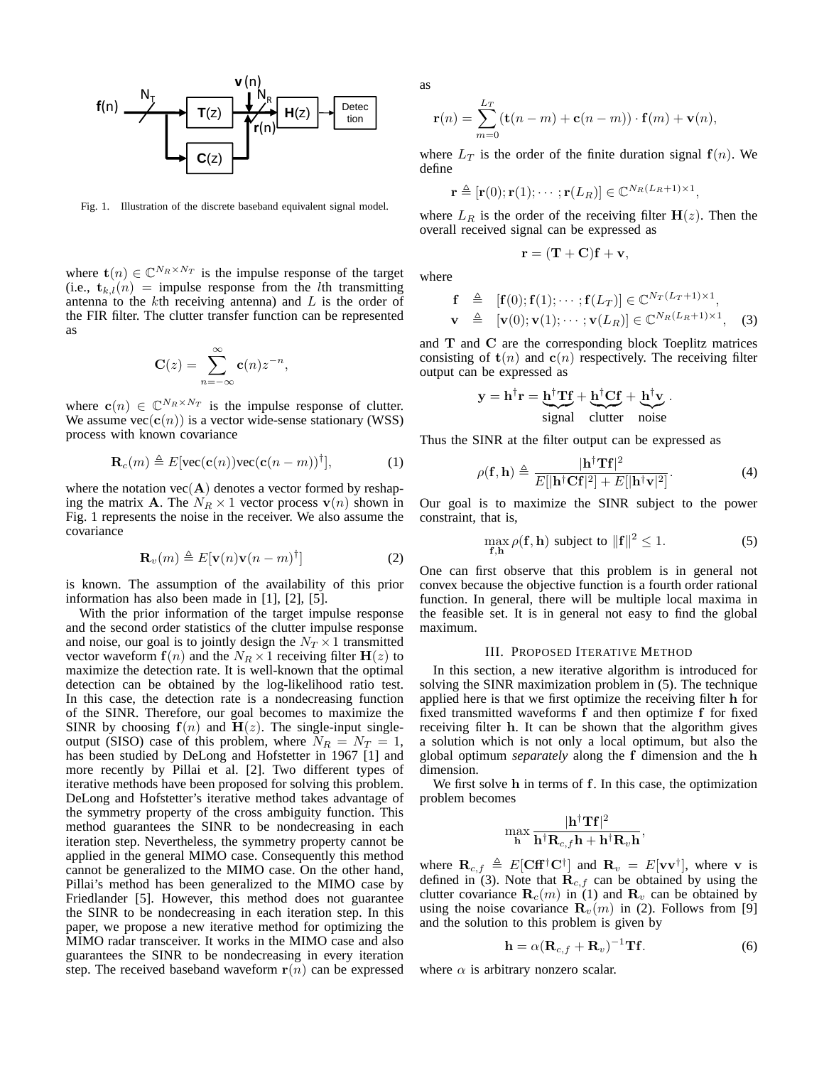

Fig. 1. Illustration of the discrete baseband equivalent signal model.

where  $\mathbf{t}(n) \in \mathbb{C}^{N_R \times N_T}$  is the impulse response of the target (i.e.,  $\mathbf{t}_{k,l}(n)$  = impulse response from the *l*th transmitting antenna to the  $k$ th receiving antenna) and  $L$  is the order of the FIR filter. The clutter transfer function can be represented as

$$
\mathbf{C}(z) = \sum_{n=-\infty}^{\infty} \mathbf{c}(n) z^{-n},
$$

where  $\mathbf{c}(n) \in \mathbb{C}^{N_R \times N_T}$  is the impulse response of clutter. We assume  $vec(c(n))$  is a vector wide-sense stationary (WSS) process with known covariance

$$
\mathbf{R}_c(m) \triangleq E[\text{vec}(\mathbf{c}(n))\text{vec}(\mathbf{c}(n-m))^{\dagger}], \tag{1}
$$

where the notation  $\text{vec}(\mathbf{A})$  denotes a vector formed by reshaping the matrix **A**. The  $N_R \times 1$  vector process  $\mathbf{v}(n)$  shown in Fig. 1 represents the noise in the receiver. We also assume the covariance

$$
\mathbf{R}_v(m) \triangleq E[\mathbf{v}(n)\mathbf{v}(n-m)^\dagger]
$$
 (2)

is known. The assumption of the availability of this prior information has also been made in [1], [2], [5].

With the prior information of the target impulse response and the second order statistics of the clutter impulse response and noise, our goal is to jointly design the  $N_T \times 1$  transmitted vector waveform  $f(n)$  and the  $N_R \times 1$  receiving filter  $H(z)$  to maximize the detection rate. It is well-known that the optimal detection can be obtained by the log-likelihood ratio test. In this case, the detection rate is a nondecreasing function of the SINR. Therefore, our goal becomes to maximize the SINR by choosing  $f(n)$  and  $H(z)$ . The single-input singleoutput (SISO) case of this problem, where  $N_R = N_T = 1$ , has been studied by DeLong and Hofstetter in 1967 [1] and more recently by Pillai et al. [2]. Two different types of iterative methods have been proposed for solving this problem. DeLong and Hofstetter's iterative method takes advantage of the symmetry property of the cross ambiguity function. This method guarantees the SINR to be nondecreasing in each iteration step. Nevertheless, the symmetry property cannot be applied in the general MIMO case. Consequently this method cannot be generalized to the MIMO case. On the other hand, Pillai's method has been generalized to the MIMO case by Friedlander [5]. However, this method does not guarantee the SINR to be nondecreasing in each iteration step. In this paper, we propose a new iterative method for optimizing the MIMO radar transceiver. It works in the MIMO case and also guarantees the SINR to be nondecreasing in every iteration step. The received baseband waveform  $r(n)$  can be expressed as

$$
\mathbf{r}(n) = \sum_{m=0}^{L_T} (\mathbf{t}(n-m) + \mathbf{c}(n-m)) \cdot \mathbf{f}(m) + \mathbf{v}(n),
$$

where  $L_T$  is the order of the finite duration signal  $f(n)$ . We define

$$
\mathbf{r} \triangleq [\mathbf{r}(0); \mathbf{r}(1); \cdots; \mathbf{r}(L_R)] \in \mathbb{C}^{N_R(L_R+1) \times 1},
$$

where  $L_R$  is the order of the receiving filter  $H(z)$ . Then the overall received signal can be expressed as

$$
\mathbf{r} = (\mathbf{T} + \mathbf{C})\mathbf{f} + \mathbf{v},
$$

where

$$
\begin{array}{rcl}\n\mathbf{f} & \triangleq & [\mathbf{f}(0); \mathbf{f}(1); \cdots; \mathbf{f}(L_T)] \in \mathbb{C}^{N_T(L_T+1)\times 1}, \\
\mathbf{v} & \triangleq & [\mathbf{v}(0); \mathbf{v}(1); \cdots; \mathbf{v}(L_R)] \in \mathbb{C}^{N_R(L_R+1)\times 1},\n\end{array} \tag{3}
$$

and **T** and **C** are the corresponding block Toeplitz matrices consisting of  $t(n)$  and  $c(n)$  respectively. The receiving filter output can be expressed as

$$
\mathbf{y} = \mathbf{h}^{\dagger} \mathbf{r} = \underbrace{\mathbf{h}^{\dagger} \mathbf{T} \mathbf{f}}_{signal} + \underbrace{\mathbf{h}^{\dagger} \mathbf{C} \mathbf{f}}_{clutter} + \underbrace{\mathbf{h}^{\dagger} \mathbf{v}}_{noise}.
$$

Thus the SINR at the filter output can be expressed as

$$
\rho(\mathbf{f}, \mathbf{h}) \triangleq \frac{|\mathbf{h}^{\dagger} \mathbf{T} \mathbf{f}|^2}{E[|\mathbf{h}^{\dagger} \mathbf{C} \mathbf{f}|^2] + E[|\mathbf{h}^{\dagger} \mathbf{v}|^2]}.
$$
 (4)

Our goal is to maximize the SINR subject to the power constraint, that is,

$$
\max_{\mathbf{f}, \mathbf{h}} \rho(\mathbf{f}, \mathbf{h}) \text{ subject to } ||\mathbf{f}||^2 \le 1. \tag{5}
$$

One can first observe that this problem is in general not convex because the objective function is a fourth order rational function. In general, there will be multiple local maxima in the feasible set. It is in general not easy to find the global maximum.

#### III. PROPOSED ITERATIVE METHOD

In this section, a new iterative algorithm is introduced for solving the SINR maximization problem in (5). The technique applied here is that we first optimize the receiving filter **h** for fixed transmitted waveforms **f** and then optimize **f** for fixed receiving filter **h**. It can be shown that the algorithm gives a solution which is not only a local optimum, but also the global optimum *separately* along the **f** dimension and the **h** dimension.

We first solve **h** in terms of **f**. In this case, the optimization problem becomes

$$
\max_{\mathbf{h}}\frac{|\mathbf{h}^{\dagger}\mathbf{T}\mathbf{f}|^2}{\mathbf{h}^{\dagger}\mathbf{R}_{c,f}\mathbf{h}+\mathbf{h}^{\dagger}\mathbf{R}_{v}\mathbf{h}},
$$

where  $\mathbf{R}_{c,f} \triangleq E[\mathbf{C}\mathbf{f}^{\dagger}\mathbf{C}^{\dagger}]$  and  $\mathbf{R}_{v} = E[\mathbf{v}\mathbf{v}^{\dagger}],$  where **v** is defined in (3). Note that  $\mathbf{R}_{c,f}$  can be obtained by using the clutter covariance  $\mathbf{R}_c(m)$  in (1) and  $\mathbf{R}_v$  can be obtained by using the noise covariance  $\mathbf{R}_v(m)$  in (2). Follows from [9] and the solution to this problem is given by

$$
\mathbf{h} = \alpha (\mathbf{R}_{c,f} + \mathbf{R}_v)^{-1} \mathbf{T} \mathbf{f}.
$$
 (6)

where  $\alpha$  is arbitrary nonzero scalar.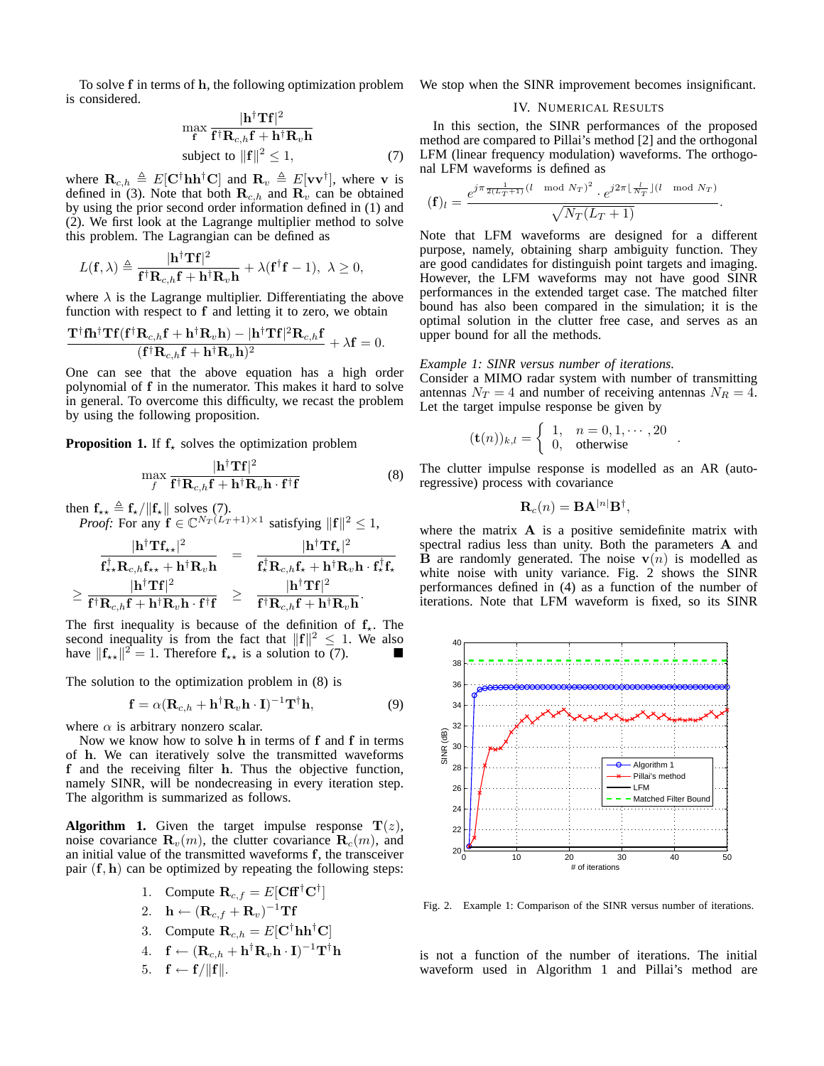To solve **f** in terms of **h**, the following optimization problem is considered.

$$
\max_{\mathbf{f}} \frac{|\mathbf{h}^{\dagger} \mathbf{T} \mathbf{f}|^2}{\mathbf{f}^{\dagger} \mathbf{R}_{c,h} \mathbf{f} + \mathbf{h}^{\dagger} \mathbf{R}_v \mathbf{h}}
$$
  
subject to  $||\mathbf{f}||^2 \le 1$ , (7)

where  $\mathbf{R}_{c,h} \triangleq E[\mathbf{C}^\dagger \mathbf{h} \mathbf{h}^\dagger \mathbf{C}]$  and  $\mathbf{R}_v \triangleq E[\mathbf{v} \mathbf{v}^\dagger]$ , where **v** is defined in (3). Note that both  $\mathbf{R}_{c,h}$  and  $\mathbf{R}_v$  can be obtained by using the prior second order information defined in (1) and (2). We first look at the Lagrange multiplier method to solve this problem. The Lagrangian can be defined as

$$
L(\mathbf{f},\lambda)\triangleq\frac{|\mathbf{h}^{\dagger}\mathbf{T}\mathbf{f}|^{2}}{\mathbf{f}^{\dagger}\mathbf{R}_{c,h}\mathbf{f}+\mathbf{h}^{\dagger}\mathbf{R}_{v}\mathbf{h}}+\lambda(\mathbf{f}^{\dagger}\mathbf{f}-1),\ \lambda\geq0,
$$

where  $\lambda$  is the Lagrange multiplier. Differentiating the above function with respect to **f** and letting it to zero, we obtain

$$
\frac{\mathbf{T}^{\dagger}\mathbf{f}\mathbf{h}^{\dagger}\mathbf{T}\mathbf{f}(\mathbf{f}^{\dagger}\mathbf{R}_{c,h}\mathbf{f}+\mathbf{h}^{\dagger}\mathbf{R}_{v}\mathbf{h})-|\mathbf{h}^{\dagger}\mathbf{T}\mathbf{f}|^{2}\mathbf{R}_{c,h}\mathbf{f}}{(\mathbf{f}^{\dagger}\mathbf{R}_{c,h}\mathbf{f}+\mathbf{h}^{\dagger}\mathbf{R}_{v}\mathbf{h})^{2}}+\lambda\mathbf{f}=0.
$$

One can see that the above equation has a high order polynomial of **f** in the numerator. This makes it hard to solve in general. To overcome this difficulty, we recast the problem by using the following proposition.

**Proposition 1.** If  $f_{\star}$  solves the optimization problem

$$
\max_{f} \frac{|\mathbf{h}^{\dagger} \mathbf{Tf}|^2}{\mathbf{f}^{\dagger} \mathbf{R}_{c,h} \mathbf{f} + \mathbf{h}^{\dagger} \mathbf{R}_v \mathbf{h} \cdot \mathbf{f}^{\dagger} \mathbf{f}} \tag{8}
$$

then  $f_{\star\star} \triangleq f_{\star}/||f_{\star}||$  solves (7).

*Proof:* For any  $\mathbf{f} \in \mathbb{C}^{N_T(L_T+1)\times 1}$  satisfying  $\|\mathbf{f}\|^2 \leq 1$ ,

$$
\begin{array}{ccc} \frac{|\mathbf{h}^{\dagger}\mathbf{T}\mathbf{f}_{\star\star}|^{2}}{\mathbf{f}_{\star\star}^{\dagger}\mathbf{R}_{c,h}\mathbf{f}_{\star\star}+\mathbf{h}^{\dagger}\mathbf{R}_{v}\mathbf{h}}&=&\frac{|\mathbf{h}^{\dagger}\mathbf{T}\mathbf{f}_{\star}|^{2}}{\mathbf{f}_{\star}^{\dagger}\mathbf{R}_{c,h}\mathbf{f}_{\star}+\mathbf{h}^{\dagger}\mathbf{R}_{v}\mathbf{h}\cdot\mathbf{f}_{\star}^{\dagger}\mathbf{f}_{\star}} \\ \geq\frac{|\mathbf{h}^{\dagger}\mathbf{T}\mathbf{f}|^{2}}{\mathbf{f}^{\dagger}\mathbf{R}_{c,h}\mathbf{f}+\mathbf{h}^{\dagger}\mathbf{R}_{v}\mathbf{h}\cdot\mathbf{f}^{\dagger}\mathbf{f}}&\geq&\frac{|\mathbf{h}^{\dagger}\mathbf{T}\mathbf{f}|^{2}}{\mathbf{f}^{\dagger}\mathbf{R}_{c,h}\mathbf{f}+\mathbf{h}^{\dagger}\mathbf{R}_{v}\mathbf{h}}.\end{array}
$$

The first inequality is because of the definition of  $f_{\star}$ . The second inequality is from the fact that  $||f||^2 \le 1$ . We also have  $\|\mathbf{f}_{\star\star}\|^2 = 1$ . Therefore  $\mathbf{f}_{\star\star}$  is a solution to (7).

The solution to the optimization problem in (8) is

$$
\mathbf{f} = \alpha (\mathbf{R}_{c,h} + \mathbf{h}^\dagger \mathbf{R}_v \mathbf{h} \cdot \mathbf{I})^{-1} \mathbf{T}^\dagger \mathbf{h},\tag{9}
$$

where  $\alpha$  is arbitrary nonzero scalar.

Now we know how to solve **h** in terms of **f** and **f** in terms of **h**. We can iteratively solve the transmitted waveforms **f** and the receiving filter **h**. Thus the objective function, namely SINR, will be nondecreasing in every iteration step. The algorithm is summarized as follows.

**Algorithm 1.** Given the target impulse response  $\mathbf{T}(z)$ , noise covariance  $\mathbf{R}_v(m)$ , the clutter covariance  $\mathbf{R}_c(m)$ , and an initial value of the transmitted waveforms **f**, the transceiver pair (**f**, **h**) can be optimized by repeating the following steps:

- 1. Compute  $\mathbf{R}_{c,f} = E[\mathbf{Cff}^{\dagger}\mathbf{C}^{\dagger}]$
- 2. **h** ←  $(\mathbf{R}_{c,f} + \mathbf{R}_v)^{-1}$ **Tf**
- 3. Compute  $\mathbf{R}_{c,h} = E[\mathbf{C}^\dagger \mathbf{h} \mathbf{h}^\dagger \mathbf{C}]$
- $\mathbf{A}. \quad \mathbf{f} \leftarrow (\mathbf{R}_{c,h} + \mathbf{h}^\dagger \mathbf{R}_v \mathbf{h} \cdot \mathbf{I})^{-1} \mathbf{T}^\dagger \mathbf{h}$

$$
5. \quad \mathbf{f} \leftarrow \mathbf{f}/\|\mathbf{f}\|.
$$

We stop when the SINR improvement becomes insignificant.

# IV. NUMERICAL RESULTS

In this section, the SINR performances of the proposed method are compared to Pillai's method [2] and the orthogonal LFM (linear frequency modulation) waveforms. The orthogonal LFM waveforms is defined as

$$
(\mathbf{f})_l = \frac{e^{j\pi \frac{1}{2(L_T+1)}(l \mod N_T)^2} \cdot e^{j2\pi \lfloor \frac{l}{N_T} \rfloor (l \mod N_T)}}{\sqrt{N_T(L_T+1)}}.
$$

Note that LFM waveforms are designed for a different purpose, namely, obtaining sharp ambiguity function. They are good candidates for distinguish point targets and imaging. However, the LFM waveforms may not have good SINR performances in the extended target case. The matched filter bound has also been compared in the simulation; it is the optimal solution in the clutter free case, and serves as an upper bound for all the methods.

# *Example 1: SINR versus number of iterations.*

Consider a MIMO radar system with number of transmitting antennas  $N_T = 4$  and number of receiving antennas  $N_R = 4$ . Let the target impulse response be given by

$$
(\mathbf{t}(n))_{k,l} = \left\{ \begin{array}{ll} 1, & n = 0, 1, \cdots, 20 \\ 0, & \text{otherwise} \end{array} \right. .
$$

The clutter impulse response is modelled as an AR (autoregressive) process with covariance

$$
\mathbf{R}_c(n) = \mathbf{B} \mathbf{A}^{|n|} \mathbf{B}^{\dagger},
$$

where the matrix **A** is a positive semidefinite matrix with spectral radius less than unity. Both the parameters **A** and **B** are randomly generated. The noise  $\mathbf{v}(n)$  is modelled as white noise with unity variance. Fig. 2 shows the SINR performances defined in (4) as a function of the number of iterations. Note that LFM waveform is fixed, so its SINR



Fig. 2. Example 1: Comparison of the SINR versus number of iterations.

is not a function of the number of iterations. The initial waveform used in Algorithm 1 and Pillai's method are